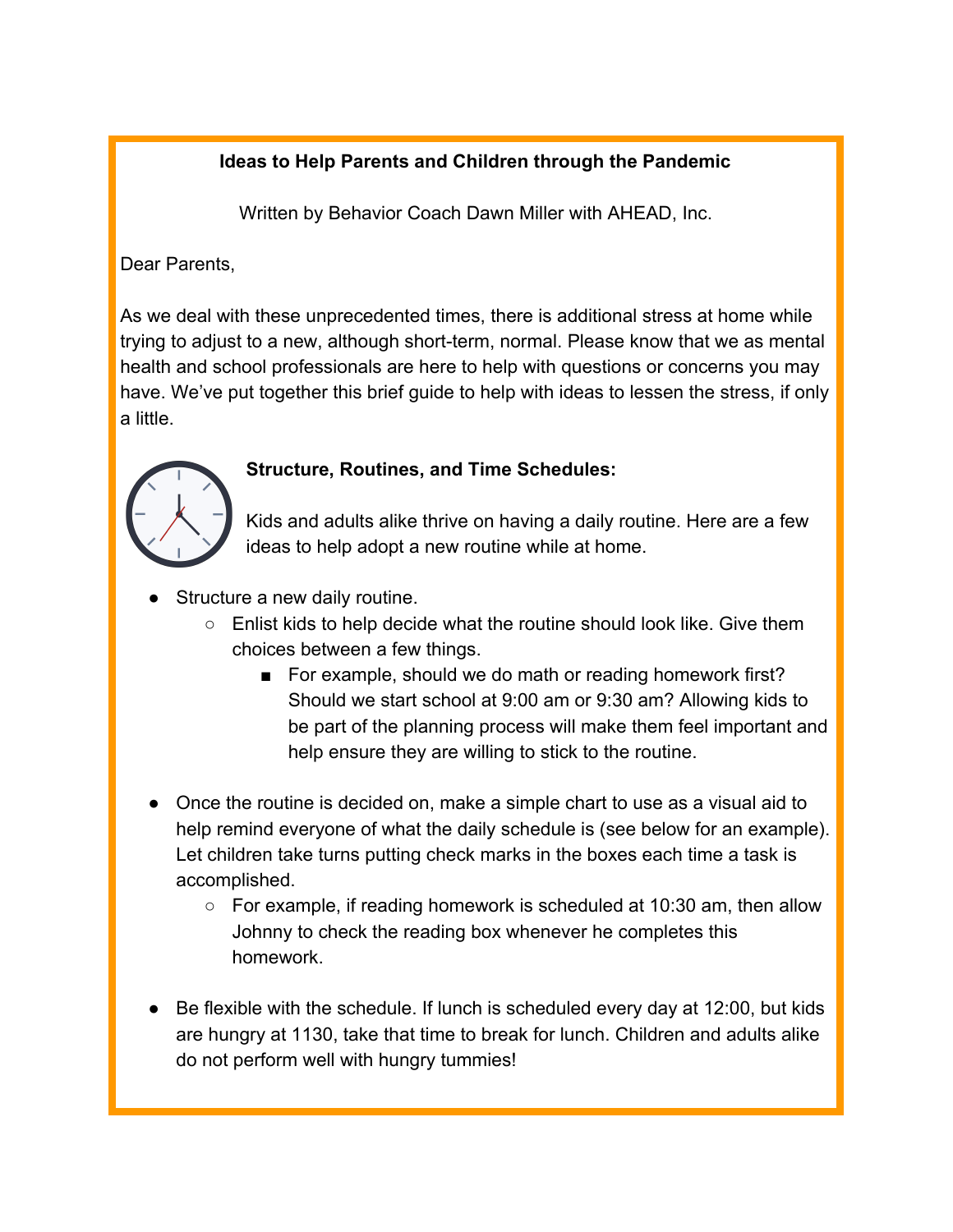# **Ideas to Help Parents and Children through the Pandemic**

Written by Behavior Coach Dawn Miller with AHEAD, Inc.

Dear Parents,

As we deal with these unprecedented times, there is additional stress at home while trying to adjust to a new, although short-term, normal. Please know that we as mental health and school professionals are here to help with questions or concerns you may have. We've put together this brief guide to help with ideas to lessen the stress, if only a little.



## **Structure, Routines, and Time Schedules:**

Kids and adults alike thrive on having a daily routine. Here are a few ideas to help adopt a new routine while at home.

- Structure a new daily routine.
	- Enlist kids to help decide what the routine should look like. Give them choices between a few things.
		- For example, should we do math or reading homework first? Should we start school at 9:00 am or 9:30 am? Allowing kids to be part of the planning process will make them feel important and help ensure they are willing to stick to the routine.
- Once the routine is decided on, make a simple chart to use as a visual aid to help remind everyone of what the daily schedule is (see below for an example). Let children take turns putting check marks in the boxes each time a task is accomplished.
	- $\circ$  For example, if reading homework is scheduled at 10:30 am, then allow Johnny to check the reading box whenever he completes this homework.
- Be flexible with the schedule. If lunch is scheduled every day at 12:00, but kids are hungry at 1130, take that time to break for lunch. Children and adults alike do not perform well with hungry tummies!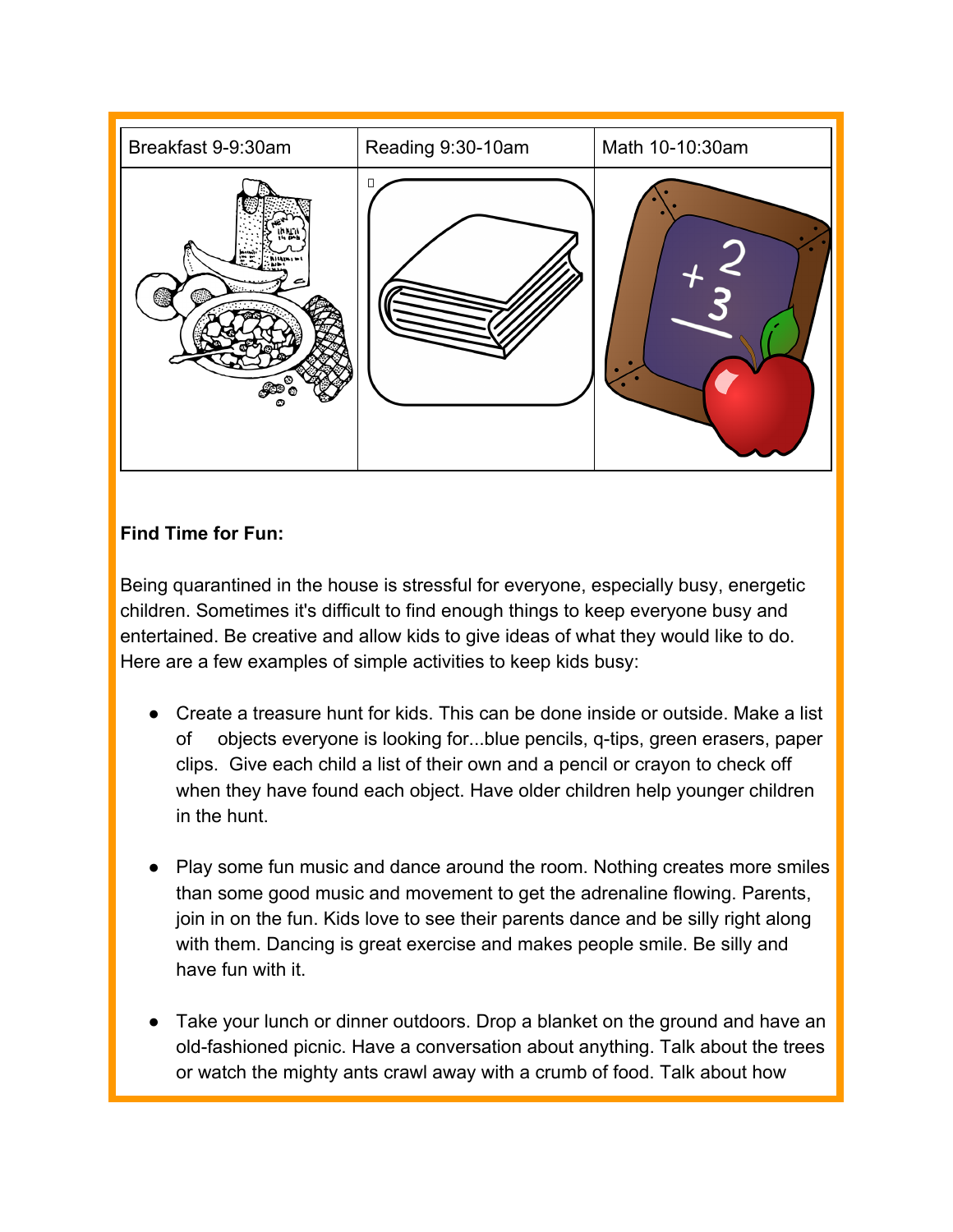

## **Find Time for Fun:**

Being quarantined in the house is stressful for everyone, especially busy, energetic children. Sometimes it's difficult to find enough things to keep everyone busy and entertained. Be creative and allow kids to give ideas of what they would like to do. Here are a few examples of simple activities to keep kids busy:

- Create a treasure hunt for kids. This can be done inside or outside. Make a list of objects everyone is looking for...blue pencils, q-tips, green erasers, paper clips. Give each child a list of their own and a pencil or crayon to check off when they have found each object. Have older children help younger children in the hunt.
- Play some fun music and dance around the room. Nothing creates more smiles than some good music and movement to get the adrenaline flowing. Parents, join in on the fun. Kids love to see their parents dance and be silly right along with them. Dancing is great exercise and makes people smile. Be silly and have fun with it.
- Take your lunch or dinner outdoors. Drop a blanket on the ground and have an old-fashioned picnic. Have a conversation about anything. Talk about the trees or watch the mighty ants crawl away with a crumb of food. Talk about how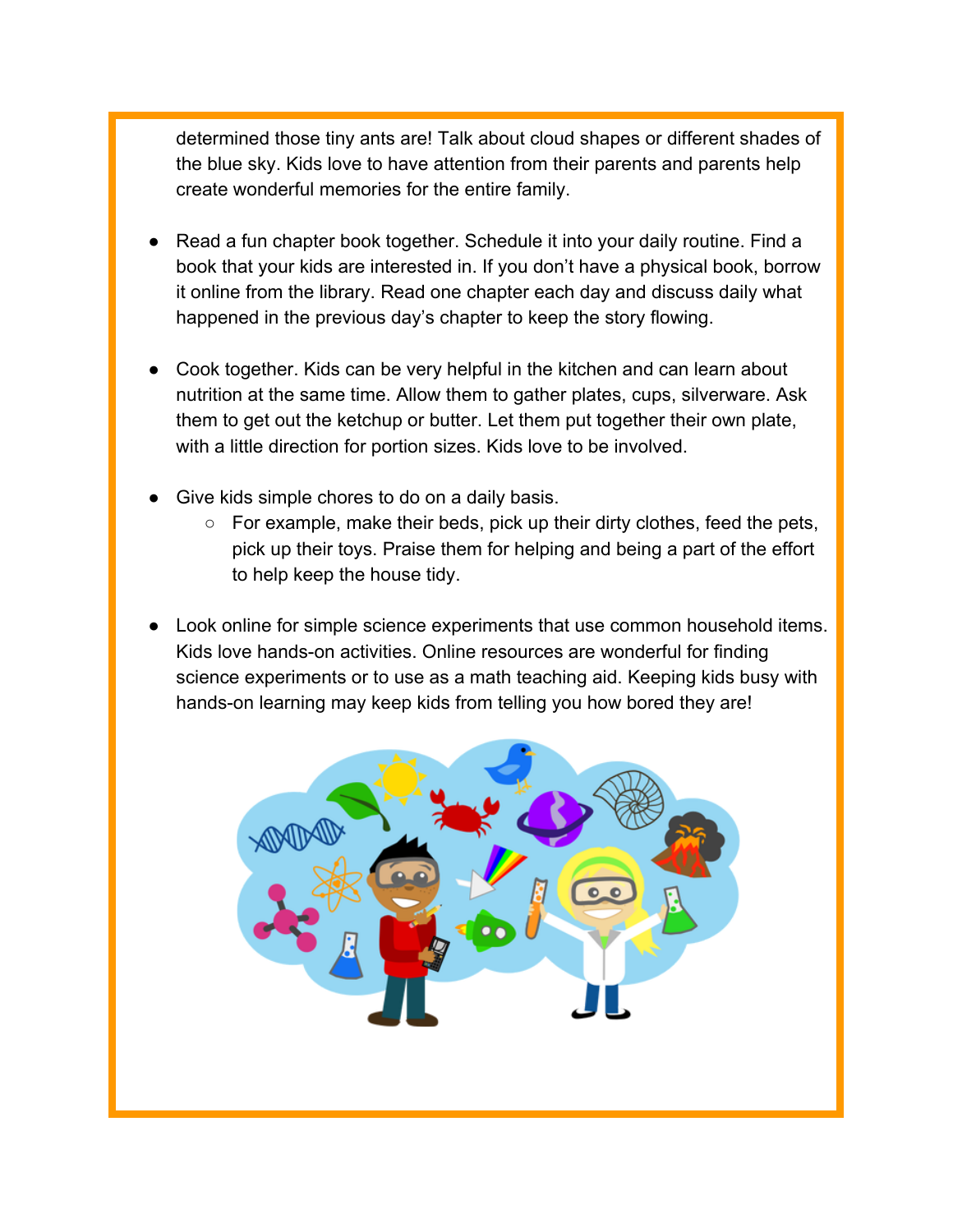determined those tiny ants are! Talk about cloud shapes or different shades of the blue sky. Kids love to have attention from their parents and parents help create wonderful memories for the entire family.

- Read a fun chapter book together. Schedule it into your daily routine. Find a book that your kids are interested in. If you don't have a physical book, borrow it online from the library. Read one chapter each day and discuss daily what happened in the previous day's chapter to keep the story flowing.
- Cook together. Kids can be very helpful in the kitchen and can learn about nutrition at the same time. Allow them to gather plates, cups, silverware. Ask them to get out the ketchup or butter. Let them put together their own plate, with a little direction for portion sizes. Kids love to be involved.
- Give kids simple chores to do on a daily basis.
	- For example, make their beds, pick up their dirty clothes, feed the pets, pick up their toys. Praise them for helping and being a part of the effort to help keep the house tidy.
- Look online for simple science experiments that use common household items. Kids love hands-on activities. Online resources are wonderful for finding science experiments or to use as a math teaching aid. Keeping kids busy with hands-on learning may keep kids from telling you how bored they are!

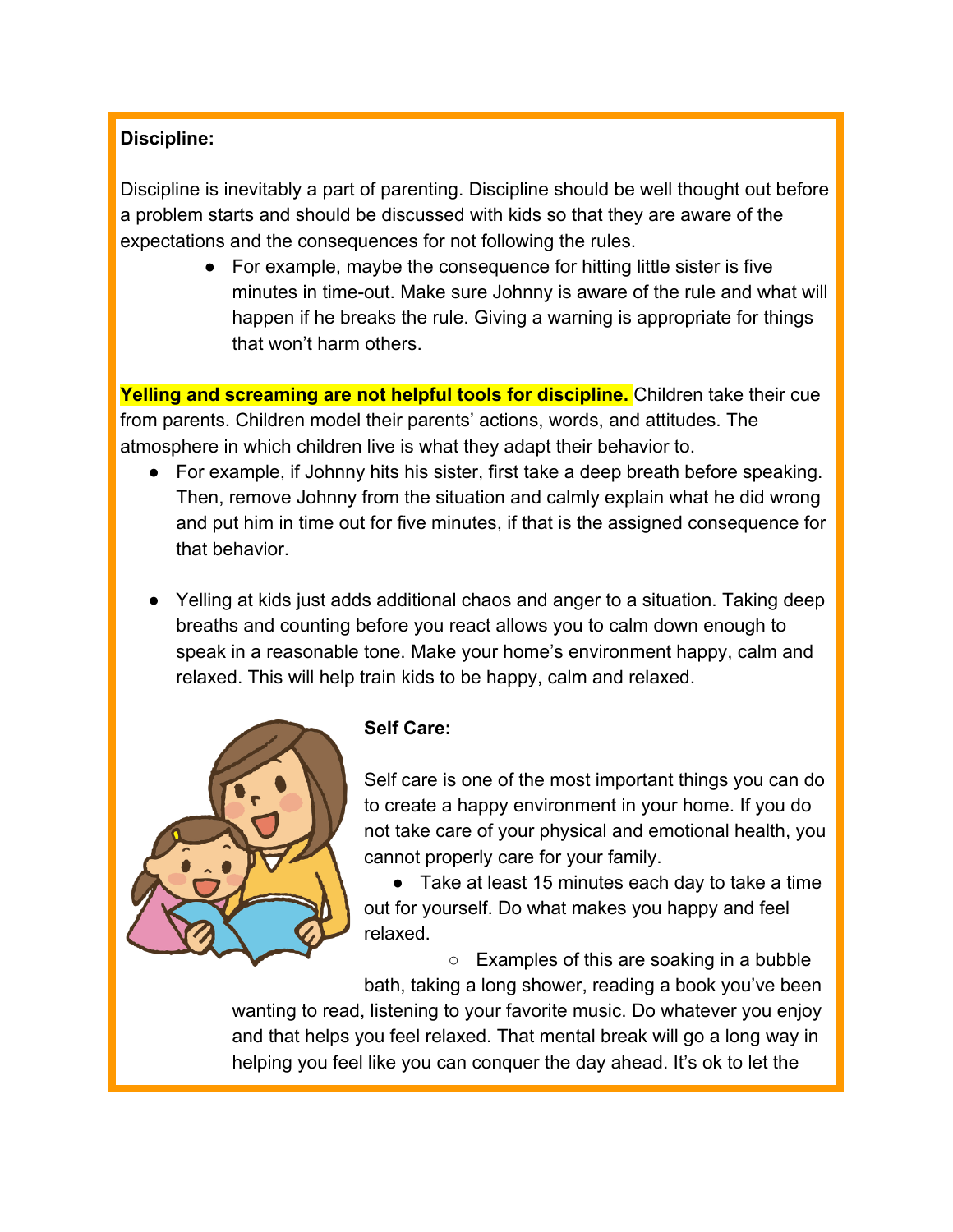## **Discipline:**

Discipline is inevitably a part of parenting. Discipline should be well thought out before a problem starts and should be discussed with kids so that they are aware of the expectations and the consequences for not following the rules.

> ● For example, maybe the consequence for hitting little sister is five minutes in time-out. Make sure Johnny is aware of the rule and what will happen if he breaks the rule. Giving a warning is appropriate for things that won't harm others.

**Yelling and screaming are not helpful tools for discipline.** Children take their cue from parents. Children model their parents' actions, words, and attitudes. The atmosphere in which children live is what they adapt their behavior to.

- For example, if Johnny hits his sister, first take a deep breath before speaking. Then, remove Johnny from the situation and calmly explain what he did wrong and put him in time out for five minutes, if that is the assigned consequence for that behavior.
- Yelling at kids just adds additional chaos and anger to a situation. Taking deep breaths and counting before you react allows you to calm down enough to speak in a reasonable tone. Make your home's environment happy, calm and relaxed. This will help train kids to be happy, calm and relaxed.



### **Self Care:**

Self care is one of the most important things you can do to create a happy environment in your home. If you do not take care of your physical and emotional health, you cannot properly care for your family.

● Take at least 15 minutes each day to take a time out for yourself. Do what makes you happy and feel relaxed.

○ Examples of this are soaking in a bubble bath, taking a long shower, reading a book you've been

wanting to read, listening to your favorite music. Do whatever you enjoy and that helps you feel relaxed. That mental break will go a long way in helping you feel like you can conquer the day ahead. It's ok to let the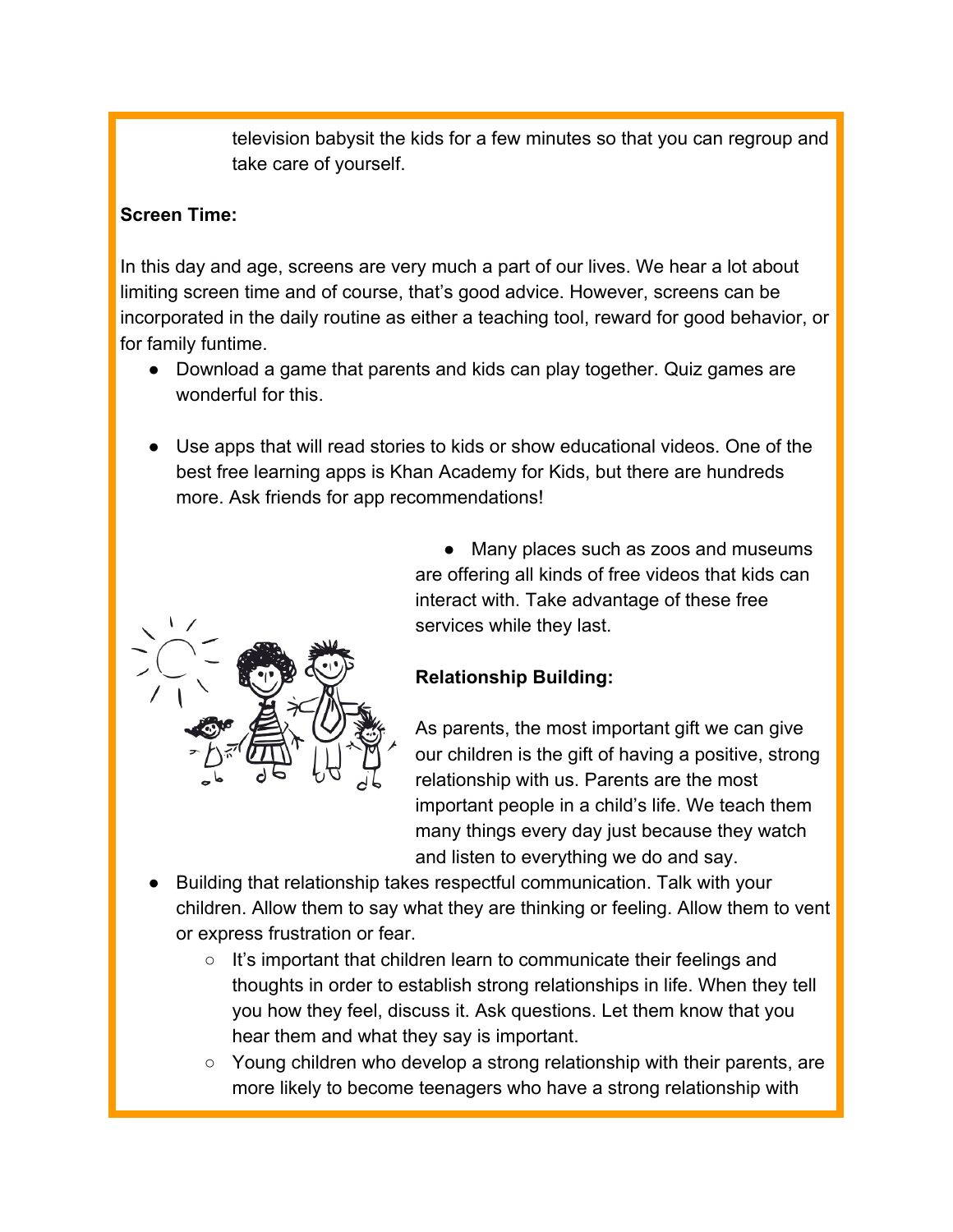television babysit the kids for a few minutes so that you can regroup and take care of yourself.

#### **Screen Time:**

In this day and age, screens are very much a part of our lives. We hear a lot about limiting screen time and of course, that's good advice. However, screens can be incorporated in the daily routine as either a teaching tool, reward for good behavior, or for family funtime.

- Download a game that parents and kids can play together. Quiz games are wonderful for this.
- Use apps that will read stories to kids or show educational videos. One of the best free learning apps is Khan Academy for Kids, but there are hundreds more. Ask friends for app recommendations!



• Many places such as zoos and museums are offering all kinds of free videos that kids can interact with. Take advantage of these free services while they last.

## **Relationship Building:**

As parents, the most important gift we can give our children is the gift of having a positive, strong relationship with us. Parents are the most important people in a child's life. We teach them many things every day just because they watch and listen to everything we do and say.

- Building that relationship takes respectful communication. Talk with your children. Allow them to say what they are thinking or feeling. Allow them to vent or express frustration or fear.
	- It's important that children learn to communicate their feelings and thoughts in order to establish strong relationships in life. When they tell you how they feel, discuss it. Ask questions. Let them know that you hear them and what they say is important.
	- $\circ$  Young children who develop a strong relationship with their parents, are more likely to become teenagers who have a strong relationship with